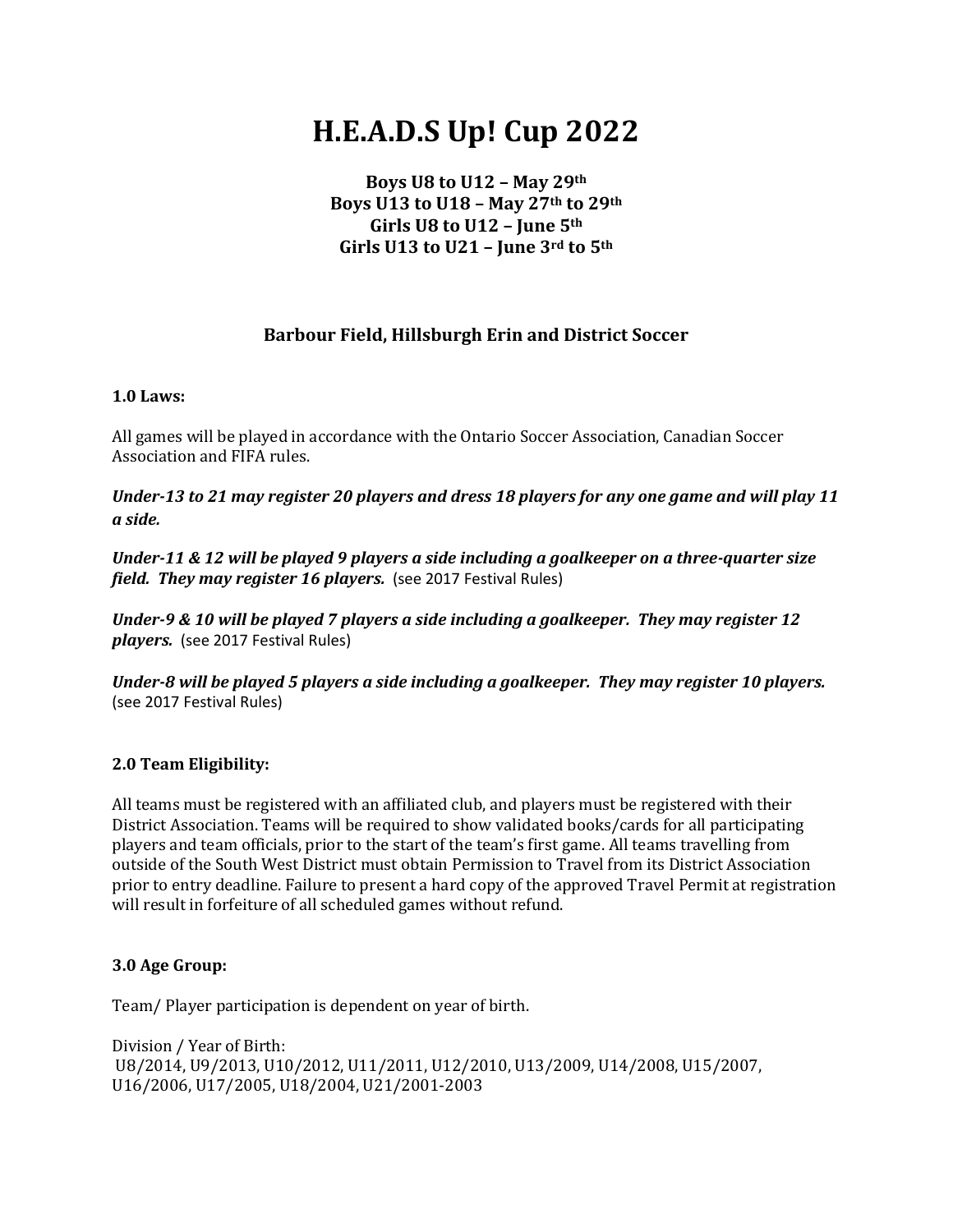# **H.E.A.D.S Up! Cup 2022**

**Boys U8 to U12 – May 29th Boys U13 to U18 – May 27th to 29th Girls U8 to U12 – June 5th Girls U13 to U21 – June 3rd to 5th**

# **Barbour Field, Hillsburgh Erin and District Soccer**

#### **1.0 Laws:**

All games will be played in accordance with the Ontario Soccer Association, Canadian Soccer Association and FIFA rules.

*Under-13 to 21 may register 20 players and dress 18 players for any one game and will play 11 a side.* 

*Under-11 & 12 will be played 9 players a side including a goalkeeper on a three-quarter size field. They may register 16 players.* (see 2017 Festival Rules)

*Under-9 & 10 will be played 7 players a side including a goalkeeper. They may register 12 players.* (see 2017 Festival Rules)

*Under-8 will be played 5 players a side including a goalkeeper. They may register 10 players.*  (see 2017 Festival Rules)

#### **2.0 Team Eligibility:**

All teams must be registered with an affiliated club, and players must be registered with their District Association. Teams will be required to show validated books/cards for all participating players and team officials, prior to the start of the team's first game. All teams travelling from outside of the South West District must obtain Permission to Travel from its District Association prior to entry deadline. Failure to present a hard copy of the approved Travel Permit at registration will result in forfeiture of all scheduled games without refund.

#### **3.0 Age Group:**

Team/ Player participation is dependent on year of birth.

Division / Year of Birth: U8/2014, U9/2013, U10/2012, U11/2011, U12/2010, U13/2009, U14/2008, U15/2007, U16/2006, U17/2005, U18/2004, U21/2001-2003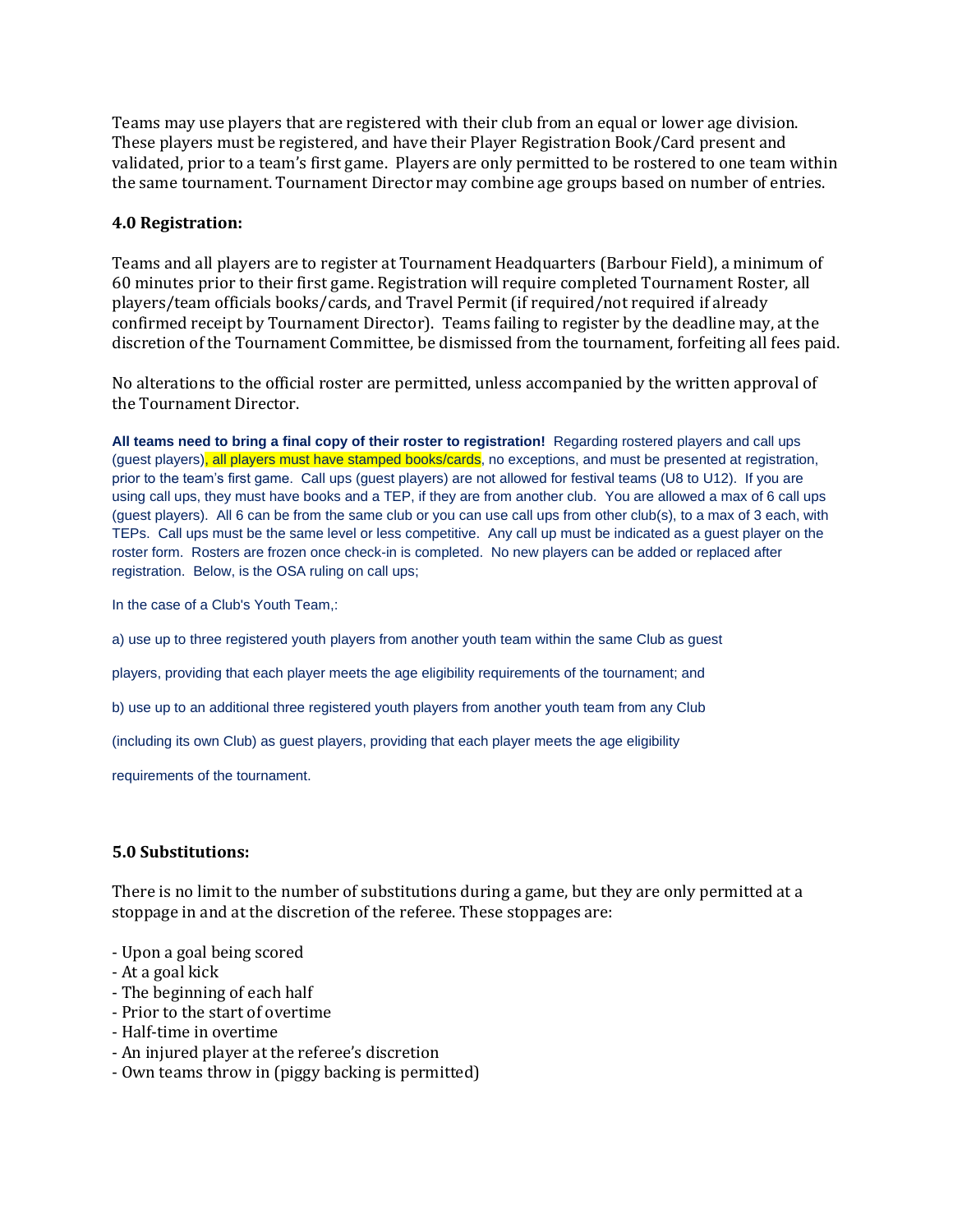Teams may use players that are registered with their club from an equal or lower age division. These players must be registered, and have their Player Registration Book/Card present and validated, prior to a team's first game. Players are only permitted to be rostered to one team within the same tournament. Tournament Director may combine age groups based on number of entries.

#### **4.0 Registration:**

Teams and all players are to register at Tournament Headquarters (Barbour Field), a minimum of 60 minutes prior to their first game. Registration will require completed Tournament Roster, all players/team officials books/cards, and Travel Permit (if required/not required if already confirmed receipt by Tournament Director). Teams failing to register by the deadline may, at the discretion of the Tournament Committee, be dismissed from the tournament, forfeiting all fees paid.

No alterations to the official roster are permitted, unless accompanied by the written approval of the Tournament Director.

**All teams need to bring a final copy of their roster to registration!** Regarding rostered players and call ups (quest players), all players must have stamped books/cards, no exceptions, and must be presented at registration, prior to the team's first game. Call ups (guest players) are not allowed for festival teams (U8 to U12). If you are using call ups, they must have books and a TEP, if they are from another club. You are allowed a max of 6 call ups (guest players). All 6 can be from the same club or you can use call ups from other club(s), to a max of 3 each, with TEPs. Call ups must be the same level or less competitive. Any call up must be indicated as a guest player on the roster form. Rosters are frozen once check-in is completed. No new players can be added or replaced after registration. Below, is the OSA ruling on call ups;

In the case of a Club's Youth Team,:

a) use up to three registered youth players from another youth team within the same Club as guest

players, providing that each player meets the age eligibility requirements of the tournament; and

b) use up to an additional three registered youth players from another youth team from any Club

(including its own Club) as guest players, providing that each player meets the age eligibility

requirements of the tournament.

#### **5.0 Substitutions:**

There is no limit to the number of substitutions during a game, but they are only permitted at a stoppage in and at the discretion of the referee. These stoppages are:

- Upon a goal being scored
- At a goal kick
- The beginning of each half
- Prior to the start of overtime
- Half-time in overtime
- An injured player at the referee's discretion
- Own teams throw in (piggy backing is permitted)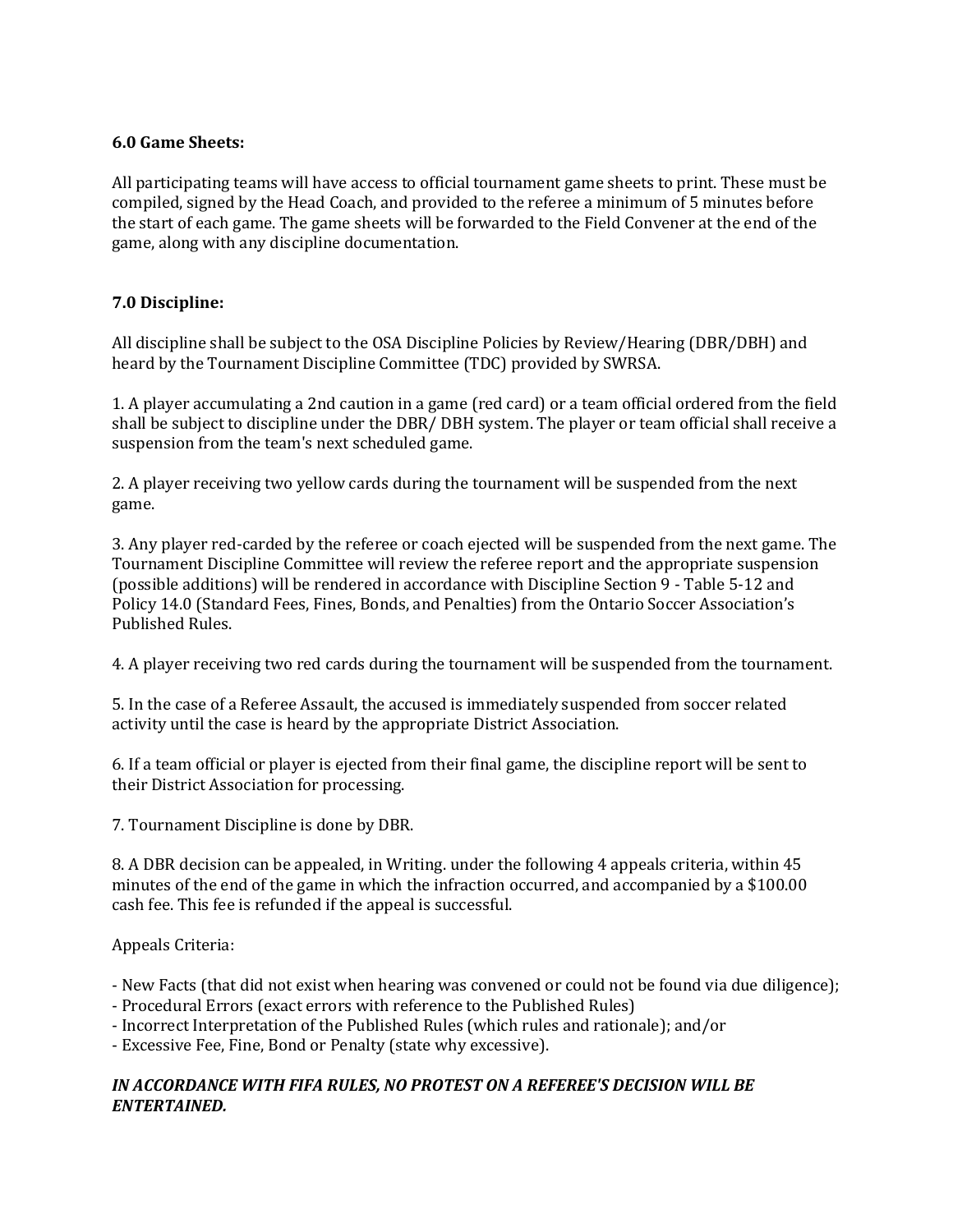#### **6.0 Game Sheets:**

All participating teams will have access to official tournament game sheets to print. These must be compiled, signed by the Head Coach, and provided to the referee a minimum of 5 minutes before the start of each game. The game sheets will be forwarded to the Field Convener at the end of the game, along with any discipline documentation.

#### **7.0 Discipline:**

All discipline shall be subject to the OSA Discipline Policies by Review/Hearing (DBR/DBH) and heard by the Tournament Discipline Committee (TDC) provided by SWRSA.

1. A player accumulating a 2nd caution in a game (red card) or a team official ordered from the field shall be subject to discipline under the DBR/ DBH system. The player or team official shall receive a suspension from the team's next scheduled game.

2. A player receiving two yellow cards during the tournament will be suspended from the next game.

3. Any player red-carded by the referee or coach ejected will be suspended from the next game. The Tournament Discipline Committee will review the referee report and the appropriate suspension (possible additions) will be rendered in accordance with Discipline Section 9 - Table 5-12 and Policy 14.0 (Standard Fees, Fines, Bonds, and Penalties) from the Ontario Soccer Association's Published Rules.

4. A player receiving two red cards during the tournament will be suspended from the tournament.

5. In the case of a Referee Assault, the accused is immediately suspended from soccer related activity until the case is heard by the appropriate District Association.

6. If a team official or player is ejected from their final game, the discipline report will be sent to their District Association for processing.

7. Tournament Discipline is done by DBR.

8. A DBR decision can be appealed, in Writing. under the following 4 appeals criteria, within 45 minutes of the end of the game in which the infraction occurred, and accompanied by a \$100.00 cash fee. This fee is refunded if the appeal is successful.

Appeals Criteria:

- New Facts (that did not exist when hearing was convened or could not be found via due diligence);

- Procedural Errors (exact errors with reference to the Published Rules)
- Incorrect Interpretation of the Published Rules (which rules and rationale); and/or

- Excessive Fee, Fine, Bond or Penalty (state why excessive).

#### *IN ACCORDANCE WITH FIFA RULES, NO PROTEST ON A REFEREE'S DECISION WILL BE ENTERTAINED.*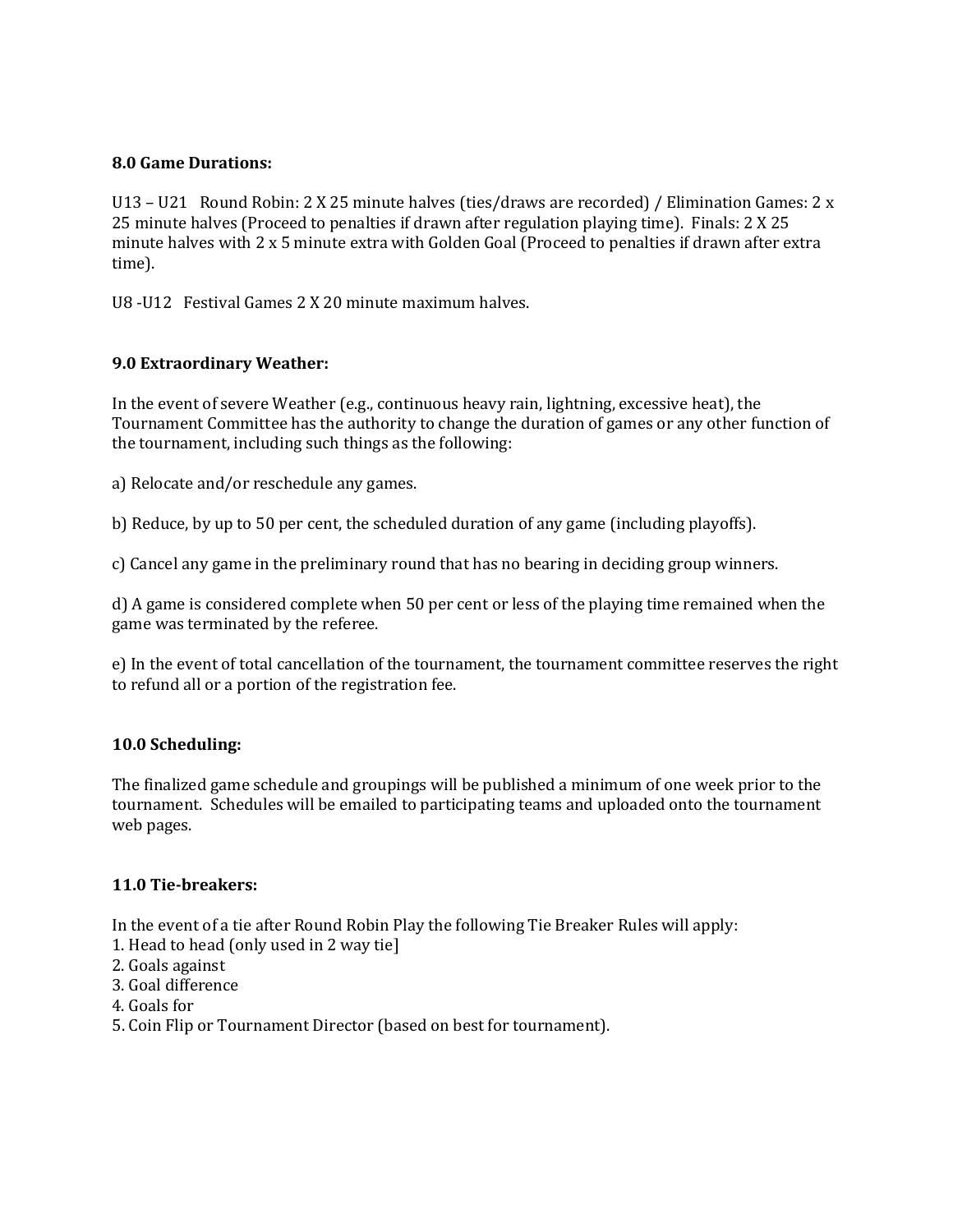#### **8.0 Game Durations:**

U13 – U21 Round Robin: 2 X 25 minute halves (ties/draws are recorded) / Elimination Games: 2 x 25 minute halves (Proceed to penalties if drawn after regulation playing time). Finals: 2 X 25 minute halves with 2 x 5 minute extra with Golden Goal (Proceed to penalties if drawn after extra time).

U8 -U12 Festival Games 2 X 20 minute maximum halves.

#### **9.0 Extraordinary Weather:**

In the event of severe Weather (e.g., continuous heavy rain, lightning, excessive heat), the Tournament Committee has the authority to change the duration of games or any other function of the tournament, including such things as the following:

a) Relocate and/or reschedule any games.

b) Reduce, by up to 50 per cent, the scheduled duration of any game (including playoffs).

c) Cancel any game in the preliminary round that has no bearing in deciding group winners.

d) A game is considered complete when 50 per cent or less of the playing time remained when the game was terminated by the referee.

e) In the event of total cancellation of the tournament, the tournament committee reserves the right to refund all or a portion of the registration fee.

#### **10.0 Scheduling:**

The finalized game schedule and groupings will be published a minimum of one week prior to the tournament. Schedules will be emailed to participating teams and uploaded onto the tournament web pages.

#### **11.0 Tie-breakers:**

In the event of a tie after Round Robin Play the following Tie Breaker Rules will apply:

- 1. Head to head (only used in 2 way tie]
- 2. Goals against
- 3. Goal difference
- 4. Goals for
- 5. Coin Flip or Tournament Director (based on best for tournament).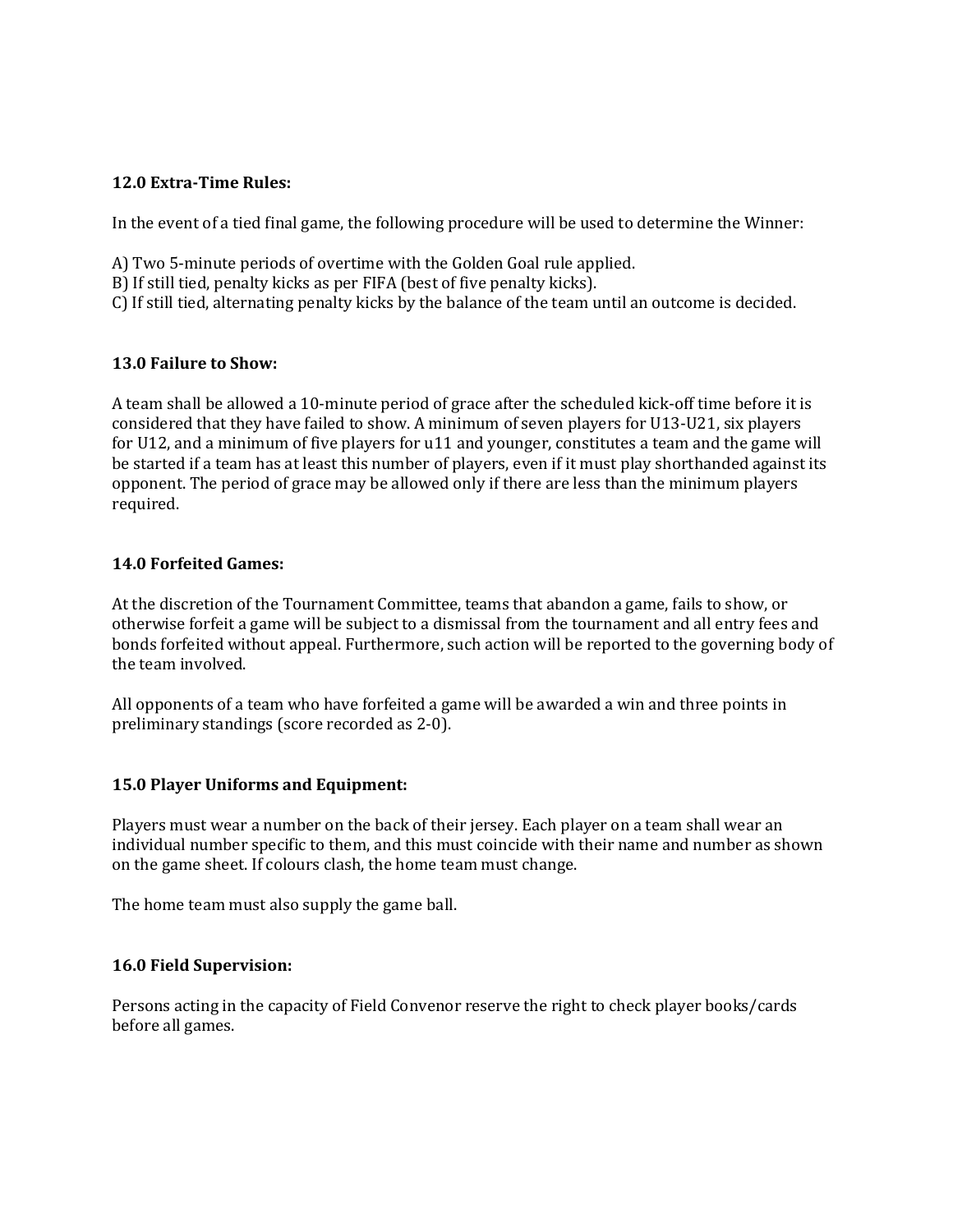#### **12.0 Extra-Time Rules:**

In the event of a tied final game, the following procedure will be used to determine the Winner:

- A) Two 5-minute periods of overtime with the Golden Goal rule applied.
- B) If still tied, penalty kicks as per FIFA (best of five penalty kicks).
- C) If still tied, alternating penalty kicks by the balance of the team until an outcome is decided.

#### **13.0 Failure to Show:**

A team shall be allowed a 10-minute period of grace after the scheduled kick-off time before it is considered that they have failed to show. A minimum of seven players for U13-U21, six players for U12, and a minimum of five players for u11 and younger, constitutes a team and the game will be started if a team has at least this number of players, even if it must play shorthanded against its opponent. The period of grace may be allowed only if there are less than the minimum players required.

#### **14.0 Forfeited Games:**

At the discretion of the Tournament Committee, teams that abandon a game, fails to show, or otherwise forfeit a game will be subject to a dismissal from the tournament and all entry fees and bonds forfeited without appeal. Furthermore, such action will be reported to the governing body of the team involved.

All opponents of a team who have forfeited a game will be awarded a win and three points in preliminary standings (score recorded as 2-0).

#### **15.0 Player Uniforms and Equipment:**

Players must wear a number on the back of their jersey. Each player on a team shall wear an individual number specific to them, and this must coincide with their name and number as shown on the game sheet. If colours clash, the home team must change.

The home team must also supply the game ball.

#### **16.0 Field Supervision:**

Persons acting in the capacity of Field Convenor reserve the right to check player books/cards before all games.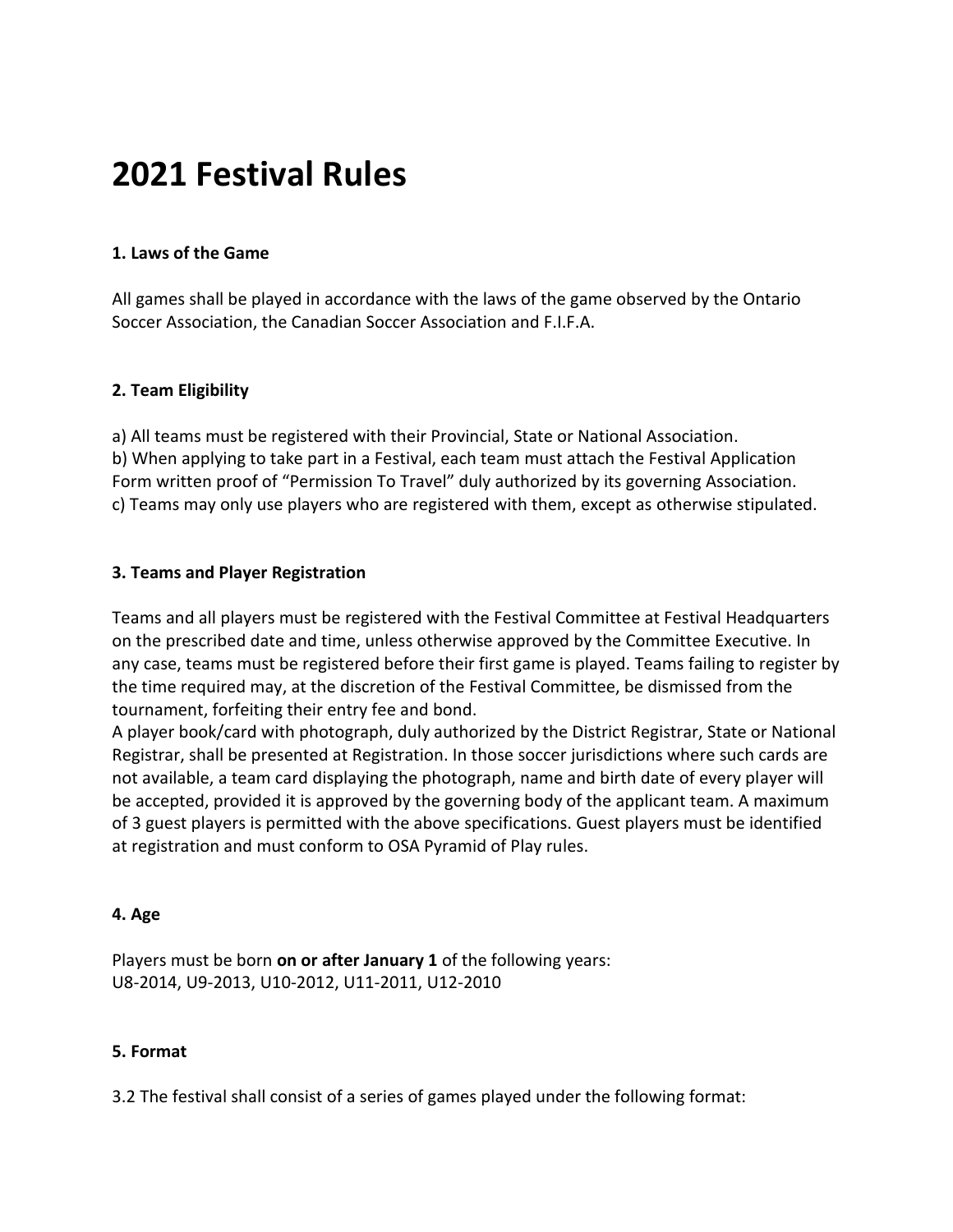# **2021 Festival Rules**

## **1. Laws of the Game**

All games shall be played in accordance with the laws of the game observed by the Ontario Soccer Association, the Canadian Soccer Association and F.I.F.A.

## **2. Team Eligibility**

a) All teams must be registered with their Provincial, State or National Association. b) When applying to take part in a Festival, each team must attach the Festival Application Form written proof of "Permission To Travel" duly authorized by its governing Association. c) Teams may only use players who are registered with them, except as otherwise stipulated.

## **3. Teams and Player Registration**

Teams and all players must be registered with the Festival Committee at Festival Headquarters on the prescribed date and time, unless otherwise approved by the Committee Executive. In any case, teams must be registered before their first game is played. Teams failing to register by the time required may, at the discretion of the Festival Committee, be dismissed from the tournament, forfeiting their entry fee and bond.

A player book/card with photograph, duly authorized by the District Registrar, State or National Registrar, shall be presented at Registration. In those soccer jurisdictions where such cards are not available, a team card displaying the photograph, name and birth date of every player will be accepted, provided it is approved by the governing body of the applicant team. A maximum of 3 guest players is permitted with the above specifications. Guest players must be identified at registration and must conform to OSA Pyramid of Play rules.

#### **4. Age**

Players must be born **on or after January 1** of the following years: U8-2014, U9-2013, U10-2012, U11-2011, U12-2010

#### **5. Format**

3.2 The festival shall consist of a series of games played under the following format: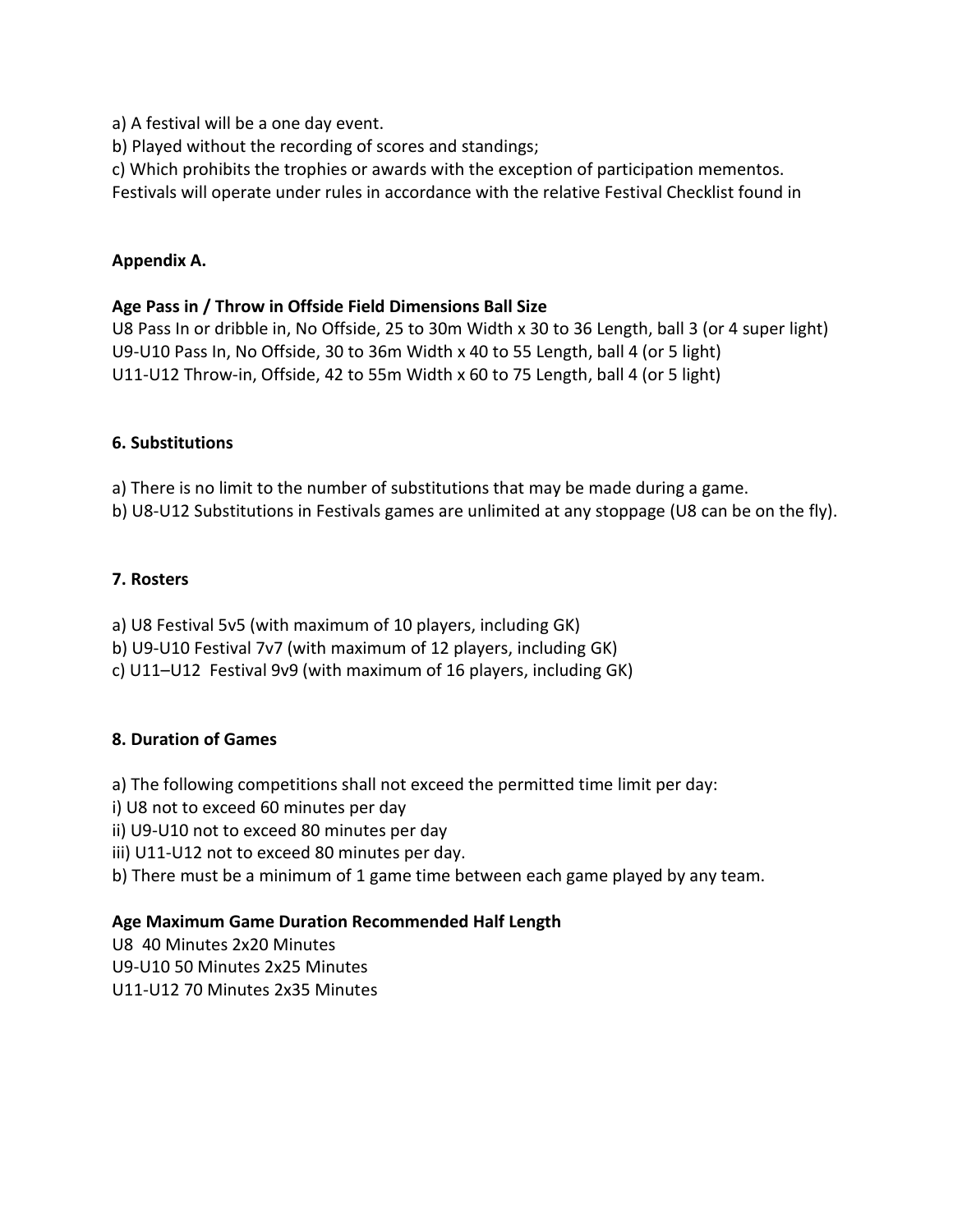a) A festival will be a one day event.

b) Played without the recording of scores and standings;

c) Which prohibits the trophies or awards with the exception of participation mementos.

Festivals will operate under rules in accordance with the relative Festival Checklist found in

#### **Appendix A.**

#### **Age Pass in / Throw in Offside Field Dimensions Ball Size**

U8 Pass In or dribble in, No Offside, 25 to 30m Width x 30 to 36 Length, ball 3 (or 4 super light) U9-U10 Pass In, No Offside, 30 to 36m Width x 40 to 55 Length, ball 4 (or 5 light) U11-U12 Throw-in, Offside, 42 to 55m Width x 60 to 75 Length, ball 4 (or 5 light)

#### **6. Substitutions**

a) There is no limit to the number of substitutions that may be made during a game.

b) U8-U12 Substitutions in Festivals games are unlimited at any stoppage (U8 can be on the fly).

#### **7. Rosters**

a) U8 Festival 5v5 (with maximum of 10 players, including GK)

b) U9-U10 Festival 7v7 (with maximum of 12 players, including GK)

c) U11–U12 Festival 9v9 (with maximum of 16 players, including GK)

#### **8. Duration of Games**

a) The following competitions shall not exceed the permitted time limit per day:

- i) U8 not to exceed 60 minutes per day
- ii) U9-U10 not to exceed 80 minutes per day

iii) U11-U12 not to exceed 80 minutes per day.

b) There must be a minimum of 1 game time between each game played by any team.

#### **Age Maximum Game Duration Recommended Half Length**

U8 40 Minutes 2x20 Minutes U9-U10 50 Minutes 2x25 Minutes U11-U12 70 Minutes 2x35 Minutes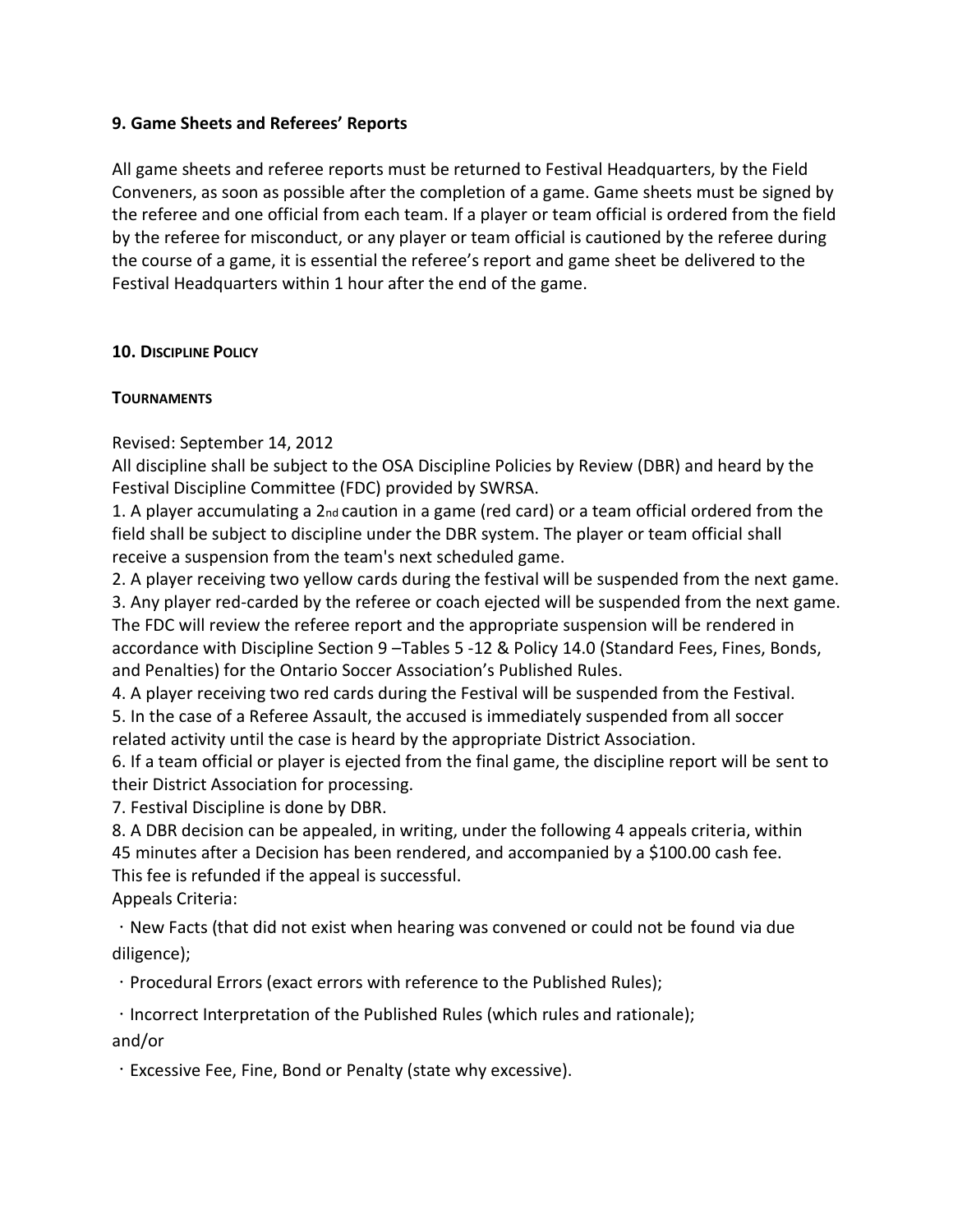### **9. Game Sheets and Referees' Reports**

All game sheets and referee reports must be returned to Festival Headquarters, by the Field Conveners, as soon as possible after the completion of a game. Game sheets must be signed by the referee and one official from each team. If a player or team official is ordered from the field by the referee for misconduct, or any player or team official is cautioned by the referee during the course of a game, it is essential the referee's report and game sheet be delivered to the Festival Headquarters within 1 hour after the end of the game.

## **10. DISCIPLINE POLICY**

## **TOURNAMENTS**

Revised: September 14, 2012

All discipline shall be subject to the OSA Discipline Policies by Review (DBR) and heard by the Festival Discipline Committee (FDC) provided by SWRSA.

1. A player accumulating a 2nd caution in a game (red card) or a team official ordered from the field shall be subject to discipline under the DBR system. The player or team official shall receive a suspension from the team's next scheduled game.

2. A player receiving two yellow cards during the festival will be suspended from the next game.

3. Any player red-carded by the referee or coach ejected will be suspended from the next game. The FDC will review the referee report and the appropriate suspension will be rendered in accordance with Discipline Section 9 –Tables 5 -12 & Policy 14.0 (Standard Fees, Fines, Bonds, and Penalties) for the Ontario Soccer Association's Published Rules.

4. A player receiving two red cards during the Festival will be suspended from the Festival. 5. In the case of a Referee Assault, the accused is immediately suspended from all soccer related activity until the case is heard by the appropriate District Association.

6. If a team official or player is ejected from the final game, the discipline report will be sent to their District Association for processing.

7. Festival Discipline is done by DBR.

8. A DBR decision can be appealed, in writing, under the following 4 appeals criteria, within 45 minutes after a Decision has been rendered, and accompanied by a \$100.00 cash fee. This fee is refunded if the appeal is successful.

Appeals Criteria:

New Facts (that did not exist when hearing was convened or could not be found via due diligence);

Procedural Errors (exact errors with reference to the Published Rules);

 $\cdot$  Incorrect Interpretation of the Published Rules (which rules and rationale); and/or

Excessive Fee, Fine, Bond or Penalty (state why excessive).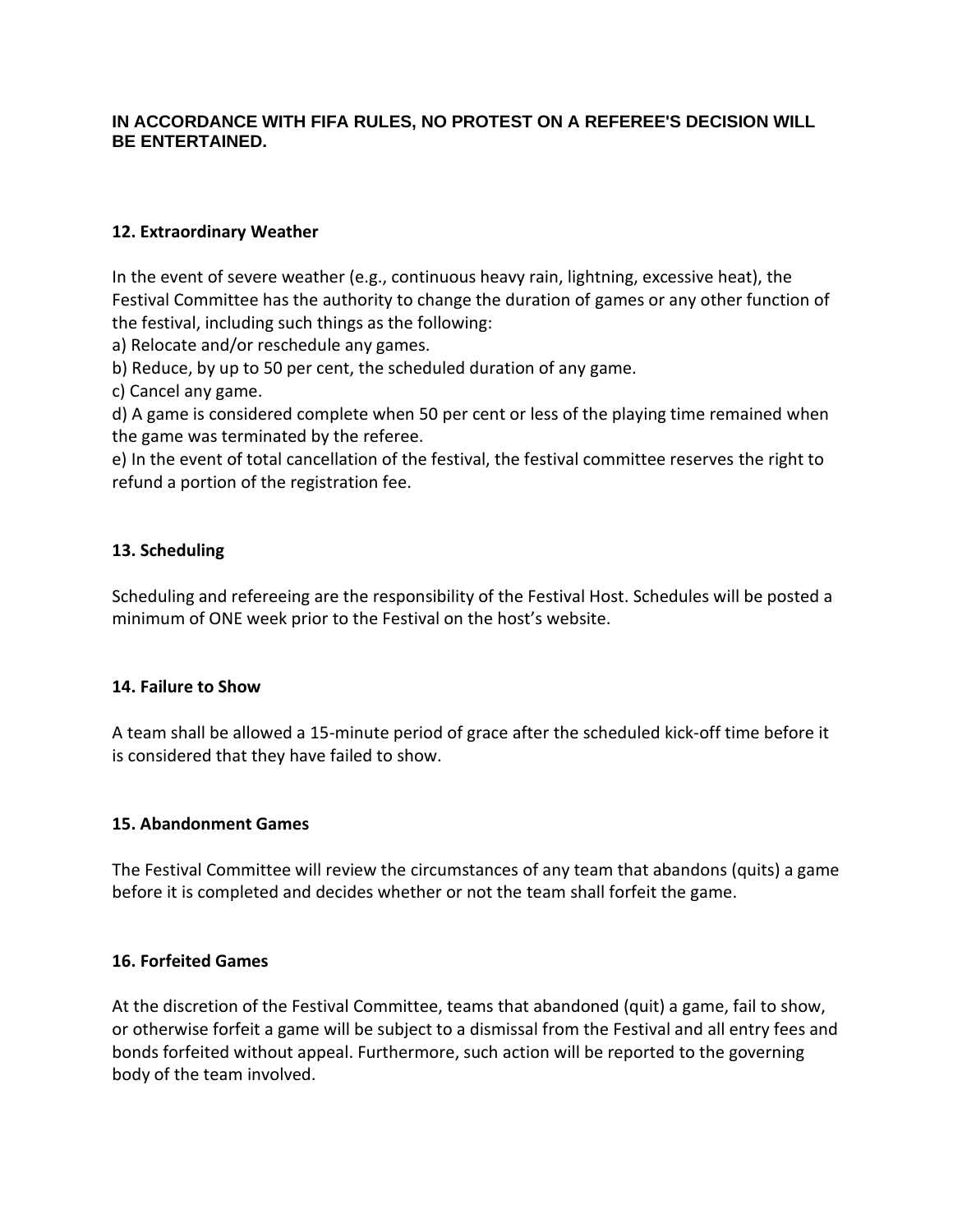## **IN ACCORDANCE WITH FIFA RULES, NO PROTEST ON A REFEREE'S DECISION WILL BE ENTERTAINED.**

## **12. Extraordinary Weather**

In the event of severe weather (e.g., continuous heavy rain, lightning, excessive heat), the Festival Committee has the authority to change the duration of games or any other function of the festival, including such things as the following:

a) Relocate and/or reschedule any games.

b) Reduce, by up to 50 per cent, the scheduled duration of any game.

c) Cancel any game.

d) A game is considered complete when 50 per cent or less of the playing time remained when the game was terminated by the referee.

e) In the event of total cancellation of the festival, the festival committee reserves the right to refund a portion of the registration fee.

## **13. Scheduling**

Scheduling and refereeing are the responsibility of the Festival Host. Schedules will be posted a minimum of ONE week prior to the Festival on the host's website.

## **14. Failure to Show**

A team shall be allowed a 15-minute period of grace after the scheduled kick-off time before it is considered that they have failed to show.

## **15. Abandonment Games**

The Festival Committee will review the circumstances of any team that abandons (quits) a game before it is completed and decides whether or not the team shall forfeit the game.

## **16. Forfeited Games**

At the discretion of the Festival Committee, teams that abandoned (quit) a game, fail to show, or otherwise forfeit a game will be subject to a dismissal from the Festival and all entry fees and bonds forfeited without appeal. Furthermore, such action will be reported to the governing body of the team involved.